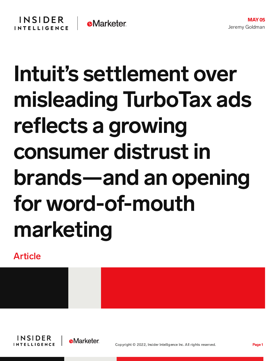## **INSIDER e**Marketer **INTELLIGENCE**

## Intuit's settlement over misleading TurboTax ads reflects a growing consumer distrust in brands—and an opening for word-of-mouth marketing

Article



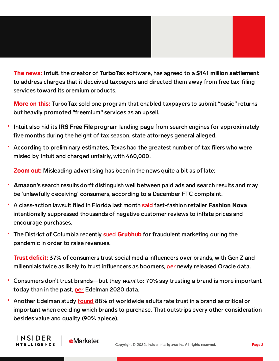## The news: Intuit, the creator of TurboTax software, has agreed to a \$141 million settlement to address charges that it deceived taxpayers and directed them away from free tax-filing services toward its premium products.

**More on this:** TurboTax sold one program that enabled taxpayers to submit "basic" returns but heavily promoted "freemium" services as an upsell.

- Intuit also hid its **IRS Free File** program landing page from search engines for approximately five months during the height of tax season, state attorneys general alleged.
- According to preliminary estimates, Texas had the greatest number of tax filers who were misled by Intuit and charged unfairly, with 460,000.

**Zoom out:** Misleading advertising has been in the news quite a bit as of late:

- Amazon's search results don't distinguish well between paid ads and search results and may be 'unlawfully deceiving' consumers, according to a December FTC complaint.
- A class-action lawsuit filed in Florida last month [said](https://content-na1.emarketer.com/fashion-nova-s-review-suppression-tactics-could-have-long-term-consequences) fast-fashion retailer Fashion Nova intentionally suppressed thousands of negative customer reviews to inflate prices and encourage purchases.
- The District of Columbia recently sued [Grubhub](https://content-na1.emarketer.com/dc-s-attorney-general-accuses-grubhub-of-deceiving-customers-exploiting-restaurants) for fraudulent marketing during the pandemic in order to raise revenues.

**Trust deficit:** 37% of consumers trust social media influencers over brands, with Gen Z and millennials twice as likely to trust influencers as boomers, [per](https://www.prnewswire.com/news-releases/37-of-consumers-trust-social-media-influencers-over-brands-301538111.html) newly released Oracle data.

- Consumers don't trust brands—but they want to: 70% say trusting a brand is more important today than in the past, [per](https://www.edelman.com/research/brand-trust-2020) Edelman 2020 data.
- Another Edelman study **[found](https://chart-na1.emarketer.com/244122/factors-that-adults-worldwide-rate-criticalimportant-deciding-which-brands-buy-use-oct-2020-of-respondents)** 88% of worldwide adults rate trust in a brand as critical or important when deciding which brands to purchase. That outstrips every other consideration besides value and quality (90% apiece).